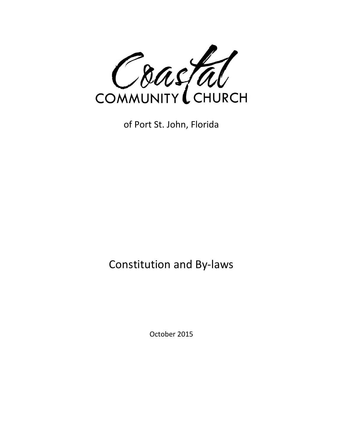

of Port St. John, Florida

# Constitution and By-laws

October 2015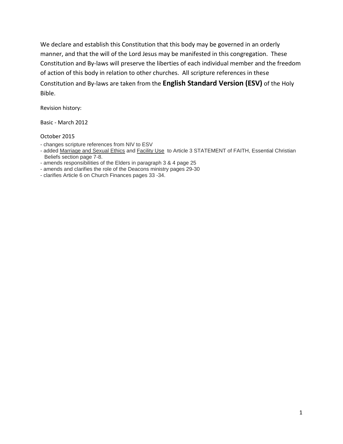We declare and establish this Constitution that this body may be governed in an orderly manner, and that the will of the Lord Jesus may be manifested in this congregation. These Constitution and By-laws will preserve the liberties of each individual member and the freedom of action of this body in relation to other churches. All scripture references in these Constitution and By-laws are taken from the **English Standard Version (ESV)** of the Holy Bible.

Revision history:

Basic - March 2012

October 2015

- changes scripture references from NIV to ESV
- added Marriage and Sexual Ethics and Facility Use to Article 3 STATEMENT of FAITH, Essential Christian Beliefs section page 7-8.
- amends responsibilities of the Elders in paragraph 3 & 4 page 25
- amends and clarifies the role of the Deacons ministry pages 29-30
- clarifies Article 6 on Church Finances pages 33 -34.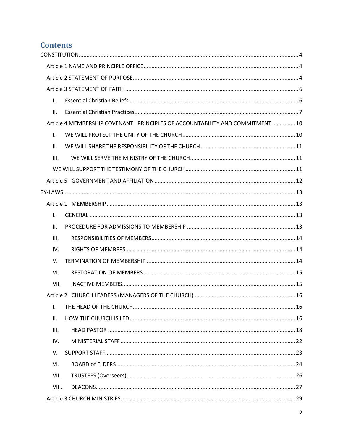## **Contents**

| $\mathsf{L}$                                                                  |  |
|-------------------------------------------------------------------------------|--|
| ΙΙ.                                                                           |  |
| Article 4 MEMBERSHIP COVENANT: PRINCIPLES OF ACCOUNTABILITY AND COMMITMENT 10 |  |
| $\mathbf{L}$                                                                  |  |
| ΙΙ.                                                                           |  |
| III.                                                                          |  |
|                                                                               |  |
|                                                                               |  |
|                                                                               |  |
|                                                                               |  |
| $\mathsf{L}$                                                                  |  |
| ΙΙ.                                                                           |  |
| III.                                                                          |  |
| IV.                                                                           |  |
| V.                                                                            |  |
| VI.                                                                           |  |
| VII.                                                                          |  |
|                                                                               |  |
| $\mathbf{I}$ .                                                                |  |
| ΙΙ.                                                                           |  |
| III.                                                                          |  |
| IV.                                                                           |  |
| V.                                                                            |  |
| VI.                                                                           |  |
| VII.                                                                          |  |
| VIII.                                                                         |  |
|                                                                               |  |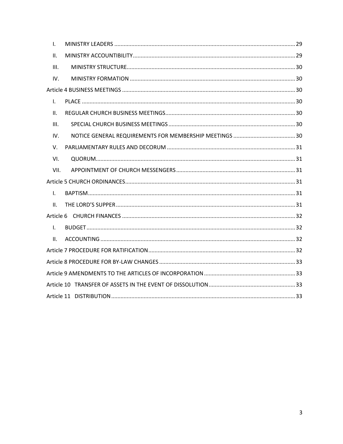| L.           |  |
|--------------|--|
| ΙΙ.          |  |
| III.         |  |
| IV.          |  |
|              |  |
| $\mathsf{L}$ |  |
| Ш.           |  |
| III.         |  |
| IV.          |  |
| V.           |  |
| VI.          |  |
| VII.         |  |
|              |  |
| $\mathbf{L}$ |  |
| II.          |  |
|              |  |
| $\mathsf{L}$ |  |
| II.          |  |
|              |  |
|              |  |
|              |  |
|              |  |
|              |  |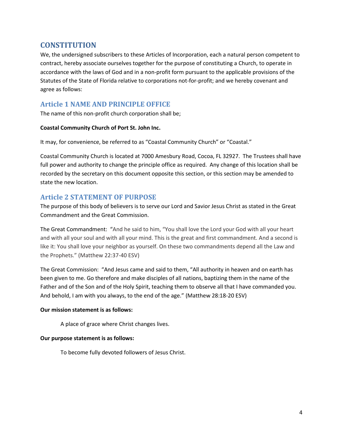## <span id="page-4-0"></span>**CONSTITUTION**

We, the undersigned subscribers to these Articles of Incorporation, each a natural person competent to contract, hereby associate ourselves together for the purpose of constituting a Church, to operate in accordance with the laws of God and in a non-profit form pursuant to the applicable provisions of the Statutes of the State of Florida relative to corporations not-for-profit; and we hereby covenant and agree as follows:

## <span id="page-4-1"></span>**Article 1 NAME AND PRINCIPLE OFFICE**

The name of this non-profit church corporation shall be;

#### **Coastal Community Church of Port St. John Inc.**

It may, for convenience, be referred to as "Coastal Community Church" or "Coastal."

Coastal Community Church is located at 7000 Amesbury Road, Cocoa, FL 32927. The Trustees shall have full power and authority to change the principle office as required. Any change of this location shall be recorded by the secretary on this document opposite this section, or this section may be amended to state the new location.

## <span id="page-4-2"></span>**Article 2 STATEMENT OF PURPOSE**

The purpose of this body of believers is to serve our Lord and Savior Jesus Christ as stated in the Great Commandment and the Great Commission.

The Great Commandment: "And he said to him, "You shall love the Lord your God with all your heart and with all your soul and with all your mind. This is the great and first commandment. And a second is like it: You shall love your neighbor as yourself. On these two commandments depend all the Law and the Prophets." (Matthew 22:37-40 ESV)

The Great Commission: "And Jesus came and said to them, "All authority in heaven and on earth has been given to me. Go therefore and make disciples of all nations, baptizing them in the name of the Father and of the Son and of the Holy Spirit, teaching them to observe all that I have commanded you. And behold, I am with you always, to the end of the age." (Matthew 28:18-20 ESV)

#### **Our mission statement is as follows:**

A place of grace where Christ changes lives.

#### **Our purpose statement is as follows:**

To become fully devoted followers of Jesus Christ.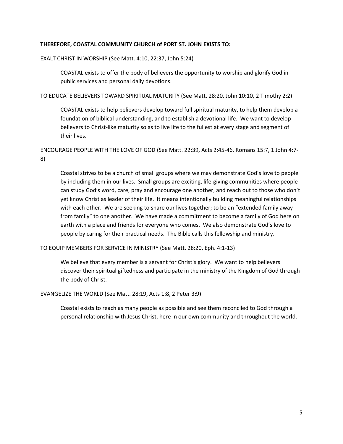#### **THEREFORE, COASTAL COMMUNITY CHURCH of PORT ST. JOHN EXISTS TO:**

EXALT CHRIST IN WORSHIP (See Matt. 4:10, 22:37, John 5:24)

COASTAL exists to offer the body of believers the opportunity to worship and glorify God in public services and personal daily devotions.

TO EDUCATE BELIEVERS TOWARD SPIRITUAL MATURITY (See Matt. 28:20, John 10:10, 2 Timothy 2:2)

COASTAL exists to help believers develop toward full spiritual maturity, to help them develop a foundation of biblical understanding, and to establish a devotional life. We want to develop believers to Christ-like maturity so as to live life to the fullest at every stage and segment of their lives.

ENCOURAGE PEOPLE WITH THE LOVE OF GOD (See Matt. 22:39, Acts 2:45-46, Romans 15:7, 1 John 4:7- 8)

Coastal strives to be a church of small groups where we may demonstrate God's love to people by including them in our lives. Small groups are exciting, life-giving communities where people can study God's word, care, pray and encourage one another, and reach out to those who don't yet know Christ as leader of their life. It means intentionally building meaningful relationships with each other. We are seeking to share our lives together; to be an "extended family away from family" to one another. We have made a commitment to become a family of God here on earth with a place and friends for everyone who comes. We also demonstrate God's love to people by caring for their practical needs. The Bible calls this fellowship and ministry.

TO EQUIP MEMBERS FOR SERVICE IN MINISTRY (See Matt. 28:20, Eph. 4:1-13)

We believe that every member is a servant for Christ's glory. We want to help believers discover their spiritual giftedness and participate in the ministry of the Kingdom of God through the body of Christ.

EVANGELIZE THE WORLD (See Matt. 28:19, Acts 1:8, 2 Peter 3:9)

Coastal exists to reach as many people as possible and see them reconciled to God through a personal relationship with Jesus Christ, here in our own community and throughout the world.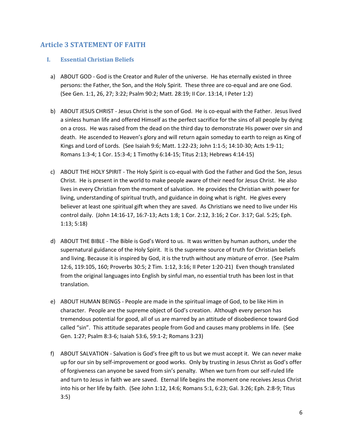## <span id="page-6-0"></span>**Article 3 STATEMENT OF FAITH**

#### <span id="page-6-1"></span>**I. Essential Christian Beliefs**

- a) ABOUT GOD God is the Creator and Ruler of the universe. He has eternally existed in three persons: the Father, the Son, and the Holy Spirit. These three are co-equal and are one God. (See Gen. 1:1, 26, 27; 3:22; Psalm 90:2; Matt. 28:19; II Cor. 13:14, I Peter 1:2)
- b) ABOUT JESUS CHRIST Jesus Christ is the son of God. He is co-equal with the Father. Jesus lived a sinless human life and offered Himself as the perfect sacrifice for the sins of all people by dying on a cross. He was raised from the dead on the third day to demonstrate His power over sin and death. He ascended to Heaven's glory and will return again someday to earth to reign as King of Kings and Lord of Lords. (See Isaiah 9:6; Matt. 1:22-23; John 1:1-5; 14:10-30; Acts 1:9-11; Romans 1:3-4; 1 Cor. 15:3-4; 1 Timothy 6:14-15; Titus 2:13; Hebrews 4:14-15)
- c) ABOUT THE HOLY SPIRIT The Holy Spirit is co-equal with God the Father and God the Son, Jesus Christ. He is present in the world to make people aware of their need for Jesus Christ. He also lives in every Christian from the moment of salvation. He provides the Christian with power for living, understanding of spiritual truth, and guidance in doing what is right. He gives every believer at least one spiritual gift when they are saved. As Christians we need to live under His control daily. (John 14:16-17, 16:7-13; Acts 1:8; 1 Cor. 2:12, 3:16; 2 Cor. 3:17; Gal. 5:25; Eph. 1:13; 5:18)
- d) ABOUT THE BIBLE The Bible is God's Word to us. It was written by human authors, under the supernatural guidance of the Holy Spirit. It is the supreme source of truth for Christian beliefs and living. Because it is inspired by God, it is the truth without any mixture of error. (See Psalm 12:6, 119:105, 160; Proverbs 30:5; 2 Tim. 1:12, 3:16; II Peter 1:20-21) Even though translated from the original languages into English by sinful man, no essential truth has been lost in that translation.
- e) ABOUT HUMAN BEINGS People are made in the spiritual image of God, to be like Him in character. People are the supreme object of God's creation. Although every person has tremendous potential for good, all of us are marred by an attitude of disobedience toward God called "sin". This attitude separates people from God and causes many problems in life. (See Gen. 1:27; Psalm 8:3-6; Isaiah 53:6, 59:1-2; Romans 3:23)
- f) ABOUT SALVATION Salvation is God's free gift to us but we must accept it. We can never make up for our sin by self-improvement or good works. Only by trusting in Jesus Christ as God's offer of forgiveness can anyone be saved from sin's penalty. When we turn from our self-ruled life and turn to Jesus in faith we are saved. Eternal life begins the moment one receives Jesus Christ into his or her life by faith. (See John 1:12, 14:6; Romans 5:1, 6:23; Gal. 3:26; Eph. 2:8-9; Titus 3:5)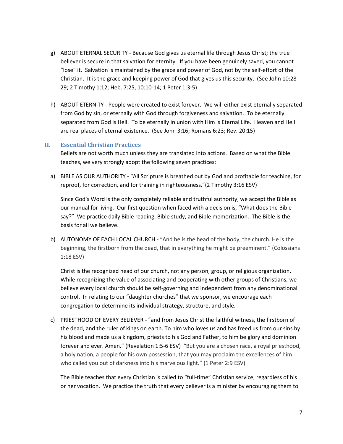- g) ABOUT ETERNAL SECURITY Because God gives us eternal life through Jesus Christ; the true believer is secure in that salvation for eternity. If you have been genuinely saved, you cannot "lose" it. Salvation is maintained by the grace and power of God, not by the self-effort of the Christian. It is the grace and keeping power of God that gives us this security. (See John 10:28- 29; 2 Timothy 1:12; Heb. 7:25, 10:10-14; 1 Peter 1:3-5)
- h) ABOUT ETERNITY People were created to exist forever. We will either exist eternally separated from God by sin, or eternally with God through forgiveness and salvation. To be eternally separated from God is Hell. To be eternally in union with Him is Eternal Life. Heaven and Hell are real places of eternal existence. (See John 3:16; Romans 6:23; Rev. 20:15)

#### <span id="page-7-0"></span>**II. Essential Christian Practices**

Beliefs are not worth much unless they are translated into actions. Based on what the Bible teaches, we very strongly adopt the following seven practices:

a) BIBLE AS OUR AUTHORITY - "All Scripture is breathed out by God and profitable for teaching, for reproof, for correction, and for training in righteousness,"(2 Timothy 3:16 ESV)

Since God's Word is the only completely reliable and truthful authority, we accept the Bible as our manual for living. Our first question when faced with a decision is, "What does the Bible say?" We practice daily Bible reading, Bible study, and Bible memorization. The Bible is the basis for all we believe.

b) AUTONOMY OF EACH LOCAL CHURCH - "And he is the head of the body, the church. He is the beginning, the firstborn from the dead, that in everything he might be preeminent." (Colossians 1:18 ESV)

Christ is the recognized head of our church, not any person, group, or religious organization. While recognizing the value of associating and cooperating with other groups of Christians, we believe every local church should be self-governing and independent from any denominational control. In relating to our "daughter churches" that we sponsor, we encourage each congregation to determine its individual strategy, structure, and style.

c) PRIESTHOOD OF EVERY BELIEVER - "and from Jesus Christ the faithful witness, the firstborn of the dead, and the ruler of kings on earth. To him who loves us and has freed us from our sins by his blood and made us a kingdom, priests to his God and Father, to him be glory and dominion forever and ever. Amen." (Revelation 1:5-6 ESV) "But you are a chosen race, a royal priesthood, a holy nation, a people for his own possession, that you may proclaim the excellences of him who called you out of darkness into his marvelous light." (1 Peter 2:9 ESV)

The Bible teaches that every Christian is called to "full-time" Christian service, regardless of his or her vocation. We practice the truth that every believer is a minister by encouraging them to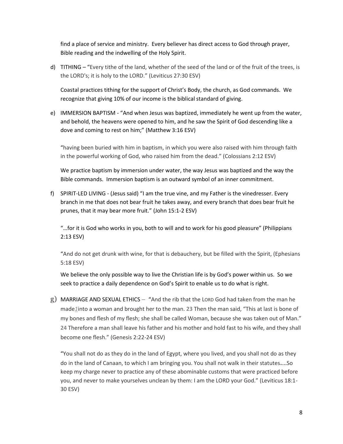find a place of service and ministry. Every believer has direct access to God through prayer, Bible reading and the indwelling of the Holy Spirit.

d) TITHING – "Every tithe of the land, whether of the seed of the land or of the fruit of the trees, is the LORD's; it is holy to the LORD." (Leviticus 27:30 ESV)

Coastal practices tithing for the support of Christ's Body, the church, as God commands. We recognize that giving 10% of our income is the biblical standard of giving.

e) IMMERSION BAPTISM - "And when Jesus was baptized, immediately he went up from the water, and behold, the heavens were opened to him, and he saw the Spirit of God descending like a dove and coming to rest on him;" (Matthew 3:16 ESV)

"having been buried with him in baptism, in which you were also raised with him through faith in the powerful working of God, who raised him from the dead." (Colossians 2:12 ESV)

We practice baptism by immersion under water, the way Jesus was baptized and the way the Bible commands. Immersion baptism is an outward symbol of an inner commitment.

f) SPIRIT-LED LIVING - (Jesus said) "I am the true vine, and my Father is the vinedresser. Every branch in me that does not bear fruit he takes away, and every branch that does bear fruit he prunes, that it may bear more fruit." (John 15:1-2 ESV)

"…for it is God who works in you, both to will and to work for his good pleasure" (Philippians 2:13 ESV)

"And do not get drunk with wine, for that is debauchery, but be filled with the Spirit, (Ephesians 5:18 ESV)

We believe the only possible way to live the Christian life is by God's power within us. So we seek to practice a daily dependence on God's Spirit to enable us to do what is right.

g) MARRIAGE AND SEXUAL ETHICS – "And the rib that the LORD God had taken from the man he made*[1](http://www.esvbible.org/Genesis%202/#f1-1)*into a woman and brought her to the man. **23** Then the man said, "This at last is bone of my bones and flesh of my flesh; she shall be called Woman, because she was taken out of Man." **24** Therefore a man shall leave his father and his mother and hold fast to his wife, and they shall become one flesh." (Genesis 2:22-24 ESV)

"You shall not do as they do in the land of Egypt, where you lived, and you shall not do as they do in the land of Canaan, to which I am bringing you. You shall not walk in their statutes....So keep my charge never to practice any of these abominable customs that were practiced before you, and never to make yourselves unclean by them: I am the LORD your God." (Leviticus 18:1- 30 ESV)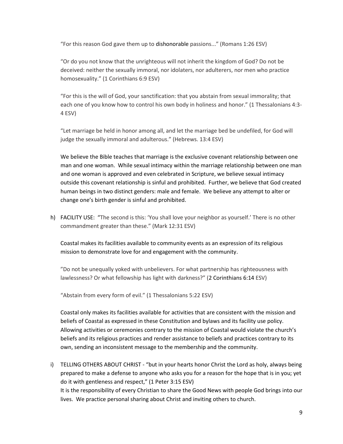"For this reason God gave them up to dishonorable passions..." (Romans 1:26 ESV)

"Or do you not know that the unrighteous will not inherit the kingdom of God? Do not be deceived: neither the sexually immoral, nor idolaters, nor adulterers, nor men who practice homosexuality." (1 Corinthians 6:9 ESV)

"For this is the will of God, your sanctification: that you abstain from sexual immorality; that each one of you know how to control his own body in holiness and honor." (1 Thessalonians 4:3- 4 ESV)

"Let marriage be held in honor among all, and let the marriage bed be undefiled, for God will judge the sexually immoral and adulterous." (Hebrews. 13:4 ESV)

We believe the Bible teaches that marriage is the exclusive covenant relationship between one man and one woman. While sexual intimacy within the marriage relationship between one man and one woman is approved and even celebrated in Scripture, we believe sexual intimacy outside this covenant relationship is sinful and prohibited. Further, we believe that God created human beings in two distinct genders: male and female. We believe any attempt to alter or change one's birth gender is sinful and prohibited.

h) FACILITY USE: "The second is this: 'You shall love your neighbor as yourself.' There is no other commandment greater than these." (Mark 12:31 ESV)

Coastal makes its facilities available to community events as an expression of its religious mission to demonstrate love for and engagement with the community.

"Do not be unequally yoked with unbelievers. For what partnership has righteousness with lawlessness? Or what fellowship has light with darkness?" (2 [Corinthians](http://www.esvbible.org/2%20Corinthians%206:14/) 6:14 ESV)

"Abstain from every form of evil." (1 Thessalonians 5:22 ESV)

Coastal only makes its facilities available for activities that are consistent with the mission and beliefs of Coastal as expressed in these Constitution and bylaws and its facility use policy. Allowing activities or ceremonies contrary to the mission of Coastal would violate the church's beliefs and its religious practices and render assistance to beliefs and practices contrary to its own, sending an inconsistent message to the membership and the community.

i) TELLING OTHERS ABOUT CHRIST - "but in your hearts honor Christ the Lord as holy, always being prepared to make a defense to anyone who asks you for a reason for the hope that is in you; yet do it with gentleness and respect," (1 Peter 3:15 ESV) It is the responsibility of every Christian to share the Good News with people God brings into our lives. We practice personal sharing about Christ and inviting others to church.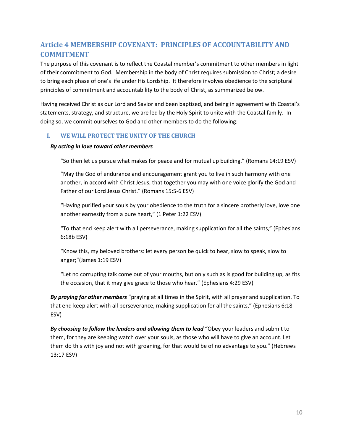## <span id="page-10-0"></span>**Article 4 MEMBERSHIP COVENANT: PRINCIPLES OF ACCOUNTABILITY AND COMMITMENT**

The purpose of this covenant is to reflect the Coastal member's commitment to other members in light of their commitment to God. Membership in the body of Christ requires submission to Christ; a desire to bring each phase of one's life under His Lordship. It therefore involves obedience to the scriptural principles of commitment and accountability to the body of Christ, as summarized below.

Having received Christ as our Lord and Savior and been baptized, and being in agreement with Coastal's statements, strategy, and structure, we are led by the Holy Spirit to unite with the Coastal family. In doing so, we commit ourselves to God and other members to do the following:

#### <span id="page-10-1"></span>**I. WE WILL PROTECT THE UNITY OF THE CHURCH**

#### *By acting in love toward other members*

"So then let us pursue what makes for peace and for mutual up building." (Romans 14:19 ESV)

"May the God of endurance and encouragement grant you to live in such harmony with one another, in accord with Christ Jesus, that together you may with one voice glorify the God and Father of our Lord Jesus Christ." (Romans 15:5-6 ESV)

"Having purified your souls by your obedience to the truth for a sincere brotherly love, love one another earnestly from a pure heart," (1 Peter 1:22 ESV)

"To that end keep alert with all perseverance, making supplication for all the saints," (Ephesians 6:18b ESV)

"Know this, my beloved brothers: let every person be quick to hear, slow to speak, slow to anger;"(James 1:19 ESV)

"Let no corrupting talk come out of your mouths, but only such as is good for building up, as fits the occasion, that it may give grace to those who hear." (Ephesians 4:29 ESV)

*By praying for other members* "praying at all times in the Spirit, with all prayer and supplication. To that end keep alert with all perseverance, making supplication for all the saints," (Ephesians 6:18 ESV)

*By choosing to follow the leaders and allowing them to lead* "Obey your leaders and submit to them, for they are keeping watch over your souls, as those who will have to give an account. Let them do this with joy and not with groaning, for that would be of no advantage to you." (Hebrews 13:17 ESV)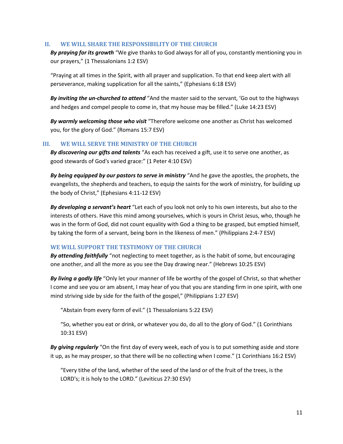#### <span id="page-11-0"></span>**II. WE WILL SHARE THE RESPONSIBILITY OF THE CHURCH**

*By praying for its growth* "We give thanks to God always for all of you, constantly mentioning you in our prayers," (1 Thessalonians 1:2 ESV)

"Praying at all times in the Spirit, with all prayer and supplication. To that end keep alert with all perseverance, making supplication for all the saints," (Ephesians 6:18 ESV)

*By inviting the un-churched to attend* "And the master said to the servant, 'Go out to the highways and hedges and compel people to come in, that my house may be filled." (Luke 14:23 ESV)

*By warmly welcoming those who visit* "Therefore welcome one another as Christ has welcomed you, for the glory of God." (Romans 15:7 ESV)

#### <span id="page-11-1"></span>**III. WE WILL SERVE THE MINISTRY OF THE CHURCH**

*By discovering our gifts and talents* "As each has received a gift, use it to serve one another, as good stewards of God's varied grace:" (1 Peter 4:10 ESV)

*By being equipped by our pastors to serve in ministry* "And he gave the apostles, the prophets, the evangelists, the shepherds and teachers, to equip the saints for the work of ministry, for building up the body of Christ," (Ephesians 4:11-12 ESV)

*By developing a servant's heart* "Let each of you look not only to his own interests, but also to the interests of others. Have this mind among yourselves, which is yours in Christ Jesus, who, though he was in the form of God, did not count equality with God a thing to be grasped, but emptied himself, by taking the form of a servant, being born in the likeness of men." (Philippians 2:4-7 ESV)

#### <span id="page-11-2"></span>**WE WILL SUPPORT THE TESTIMONY OF THE CHURCH**

*By attending faithfully* "not neglecting to meet together, as is the habit of some, but encouraging one another, and all the more as you see the Day drawing near." (Hebrews 10:25 ESV)

*By living a godly life* "Only let your manner of life be worthy of the gospel of Christ, so that whether I come and see you or am absent, I may hear of you that you are standing firm in one spirit, with one mind striving side by side for the faith of the gospel," (Philippians 1:27 ESV)

"Abstain from every form of evil." (1 Thessalonians 5:22 ESV)

"So, whether you eat or drink, or whatever you do, do all to the glory of God." (1 Corinthians 10:31 ESV)

*By giving regularly* "On the first day of every week, each of you is to put something aside and store it up, as he may prosper, so that there will be no collecting when I come." (1 Corinthians 16:2 ESV)

"Every tithe of the land, whether of the seed of the land or of the fruit of the trees, is the LORD's; it is holy to the LORD." (Leviticus 27:30 ESV)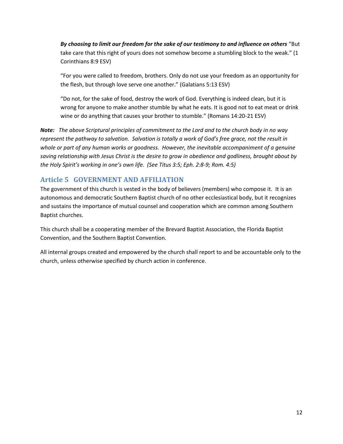*By choosing to limit our freedom for the sake of our testimony to and influence on others* "But take care that this right of yours does not somehow become a stumbling block to the weak." (1 Corinthians 8:9 ESV)

"For you were called to freedom, brothers. Only do not use your freedom as an opportunity for the flesh, but through love serve one another." (Galatians 5:13 ESV)

"Do not, for the sake of food, destroy the work of God. Everything is indeed clean, but it is wrong for anyone to make another stumble by what he eats. It is good not to eat meat or drink wine or do anything that causes your brother to stumble." (Romans 14:20-21 ESV)

*Note: The above Scriptural principles of commitment to the Lord and to the church body in no way represent the pathway to salvation. Salvation is totally a work of God's free grace, not the result in whole or part of any human works or goodness. However, the inevitable accompaniment of a genuine saving relationship with Jesus Christ is the desire to grow in obedience and godliness, brought about by the Holy Spirit's working in one's own life. (See Titus 3:5; Eph. 2:8-9; Rom. 4:5)*

## <span id="page-12-0"></span>**Article 5 GOVERNMENT AND AFFILIATION**

The government of this church is vested in the body of believers (members) who compose it. It is an autonomous and democratic Southern Baptist church of no other ecclesiastical body, but it recognizes and sustains the importance of mutual counsel and cooperation which are common among Southern Baptist churches.

This church shall be a cooperating member of the Brevard Baptist Association, the Florida Baptist Convention, and the Southern Baptist Convention.

All internal groups created and empowered by the church shall report to and be accountable only to the church, unless otherwise specified by church action in conference.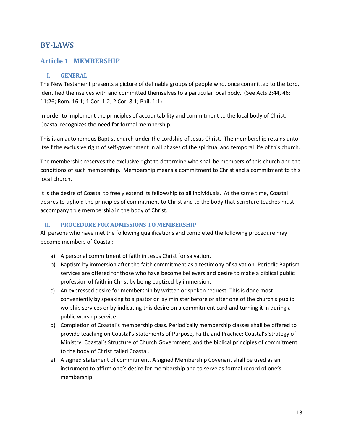## <span id="page-13-0"></span>**BY-LAWS**

## <span id="page-13-1"></span>**Article 1 MEMBERSHIP**

#### <span id="page-13-2"></span>**I. GENERAL**

The New Testament presents a picture of definable groups of people who, once committed to the Lord, identified themselves with and committed themselves to a particular local body. (See Acts 2:44, 46; 11:26; Rom. 16:1; 1 Cor. 1:2; 2 Cor. 8:1; Phil. 1:1)

In order to implement the principles of accountability and commitment to the local body of Christ, Coastal recognizes the need for formal membership.

This is an autonomous Baptist church under the Lordship of Jesus Christ. The membership retains unto itself the exclusive right of self-government in all phases of the spiritual and temporal life of this church.

The membership reserves the exclusive right to determine who shall be members of this church and the conditions of such membership. Membership means a commitment to Christ and a commitment to this local church.

It is the desire of Coastal to freely extend its fellowship to all individuals. At the same time, Coastal desires to uphold the principles of commitment to Christ and to the body that Scripture teaches must accompany true membership in the body of Christ.

#### <span id="page-13-3"></span>**II. PROCEDURE FOR ADMISSIONS TO MEMBERSHIP**

All persons who have met the following qualifications and completed the following procedure may become members of Coastal:

- a) A personal commitment of faith in Jesus Christ for salvation.
- b) Baptism by immersion after the faith commitment as a testimony of salvation. Periodic Baptism services are offered for those who have become believers and desire to make a biblical public profession of faith in Christ by being baptized by immersion.
- c) An expressed desire for membership by written or spoken request. This is done most conveniently by speaking to a pastor or lay minister before or after one of the church's public worship services or by indicating this desire on a commitment card and turning it in during a public worship service.
- d) Completion of Coastal's membership class. Periodically membership classes shall be offered to provide teaching on Coastal's Statements of Purpose, Faith, and Practice; Coastal's Strategy of Ministry; Coastal's Structure of Church Government; and the biblical principles of commitment to the body of Christ called Coastal.
- e) A signed statement of commitment. A signed Membership Covenant shall be used as an instrument to affirm one's desire for membership and to serve as formal record of one's membership.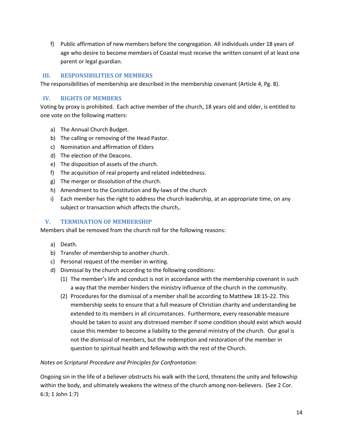f) Public affirmation of new members before the congregation. All individuals under 18 years of age who desire to become members of Coastal must receive the written consent of at least one parent or legal guardian.

#### <span id="page-14-0"></span>**III. RESPONSIBILITIES OF MEMBERS**

The responsibilities of membership are described in the membership covenant (Article 4, Pg. 8).

#### <span id="page-14-1"></span>**IV. RIGHTS OF MEMBERS**

Voting by proxy is prohibited. Each active member of the church, 18 years old and older, is entitled to one vote on the following matters:

- a) The Annual Church Budget.
- b) The calling or removing of the Head Pastor.
- c) Nomination and affirmation of Elders
- d) The election of the Deacons.
- e) The disposition of assets of the church.
- f) The acquisition of real property and related indebtedness.
- g) The merger or dissolution of the church.
- h) Amendment to the Constitution and By-laws of the church
- i) Each member has the right to address the church leadership, at an appropriate time, on any subject or transaction which affects the church,.

#### <span id="page-14-2"></span>**V. TERMINATION OF MEMBERSHIP**

Members shall be removed from the church roll for the following reasons:

- a) Death.
- b) Transfer of membership to another church.
- c) Personal request of the member in writing.
- d) Dismissal by the church according to the following conditions:
	- (1) The member's life and conduct is not in accordance with the membership covenant in such a way that the member hinders the ministry influence of the church in the community.
	- (2) Procedures for the dismissal of a member shall be according to Matthew 18:15-22. This membership seeks to ensure that a full measure of Christian charity and understanding be extended to its members in all circumstances. Furthermore, every reasonable measure should be taken to assist any distressed member if some condition should exist which would cause this member to become a liability to the general ministry of the church. Our goal is not the dismissal of members, but the redemption and restoration of the member in question to spiritual health and fellowship with the rest of the Church.

#### *Notes on Scriptural Procedure and Principles for Confrontation:*

Ongoing sin in the life of a believer obstructs his walk with the Lord, threatens the unity and fellowship within the body, and ultimately weakens the witness of the church among non-believers. (See 2 Cor. 6:3; 1 John 1:7)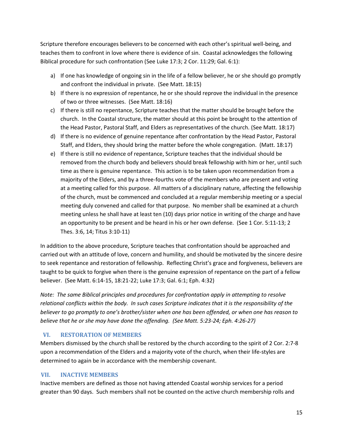Scripture therefore encourages believers to be concerned with each other's spiritual well-being, and teaches them to confront in love where there is evidence of sin. Coastal acknowledges the following Biblical procedure for such confrontation (See Luke 17:3; 2 Cor. 11:29; Gal. 6:1):

- a) If one has knowledge of ongoing sin in the life of a fellow believer, he or she should go promptly and confront the individual in private. (See Matt. 18:15)
- b) If there is no expression of repentance, he or she should reprove the individual in the presence of two or three witnesses. (See Matt. 18:16)
- c) If there is still no repentance, Scripture teaches that the matter should be brought before the church. In the Coastal structure, the matter should at this point be brought to the attention of the Head Pastor, Pastoral Staff, and Elders as representatives of the church. (See Matt. 18:17)
- d) If there is no evidence of genuine repentance after confrontation by the Head Pastor, Pastoral Staff, and Elders, they should bring the matter before the whole congregation. (Matt. 18:17)
- e) If there is still no evidence of repentance, Scripture teaches that the individual should be removed from the church body and believers should break fellowship with him or her, until such time as there is genuine repentance. This action is to be taken upon recommendation from a majority of the Elders, and by a three-fourths vote of the members who are present and voting at a meeting called for this purpose. All matters of a disciplinary nature, affecting the fellowship of the church, must be commenced and concluded at a regular membership meeting or a special meeting duly convened and called for that purpose. No member shall be examined at a church meeting unless he shall have at least ten (10) days prior notice in writing of the charge and have an opportunity to be present and be heard in his or her own defense. (See 1 Cor. 5:11-13; 2 Thes. 3:6, 14; Titus 3:10-11)

In addition to the above procedure, Scripture teaches that confrontation should be approached and carried out with an attitude of love, concern and humility, and should be motivated by the sincere desire to seek repentance and restoration of fellowship. Reflecting Christ's grace and forgiveness, believers are taught to be quick to forgive when there is the genuine expression of repentance on the part of a fellow believer. (See Matt. 6:14-15, 18:21-22; Luke 17:3; Gal. 6:1; Eph. 4:32)

*Note: The same Biblical principles and procedures for confrontation apply in attempting to resolve relational conflicts within the body. In such cases Scripture indicates that it is the responsibility of the believer to go promptly to one's brother/sister when one has been offended, or when one has reason to believe that he or she may have done the offending. (See Matt. 5:23-24; Eph. 4:26-27)*

#### <span id="page-15-0"></span>**VI. RESTORATION OF MEMBERS**

Members dismissed by the church shall be restored by the church according to the spirit of 2 Cor. 2:7-8 upon a recommendation of the Elders and a majority vote of the church, when their life-styles are determined to again be in accordance with the membership covenant.

### <span id="page-15-1"></span>**VII. INACTIVE MEMBERS**

Inactive members are defined as those not having attended Coastal worship services for a period greater than 90 days. Such members shall not be counted on the active church membership rolls and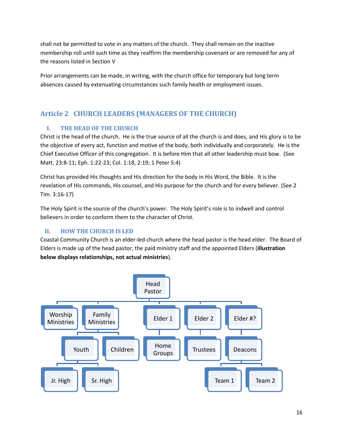shall not be permitted to vote in any matters of the church. They shall remain on the inactive membership roll until such time as they reaffirm the membership covenant or are removed for any of the reasons listed in Section V

Prior arrangements can be made, in writing, with the church office for temporary but long term absences caused by extenuating circumstances such family health or employment issues.

## <span id="page-16-0"></span>**Article 2 CHURCH LEADERS (MANAGERS OF THE CHURCH)**

## <span id="page-16-1"></span>**I. THE HEAD OF THE CHURCH**

Christ is the head of the church. He is the true source of all the church is and does, and His glory is to be the objective of every act, function and motive of the body, both individually and corporately. He is the Chief Executive Officer of this congregation. It is before Him that all other leadership must bow. (See Matt. 23:8-11; Eph. 1:22-23; Col. 1:18, 2:19; 1 Peter 5:4)

Christ has provided His thoughts and His direction for the body in His Word, the Bible. It is the revelation of His commands, His counsel, and His purpose for the church and for every believer. (See 2 Tim. 3:16-17)

The Holy Spirit is the source of the church's power. The Holy Spirit's role is to indwell and control believers in order to conform them to the character of Christ.

## <span id="page-16-2"></span>**II. HOW THE CHURCH IS LED**

Coastal Community Church is an elder-led church where the head pastor is the head elder. The Board of Elders is made up of the head pastor, the paid ministry staff and the appointed Elders (**illustration below displays relationships, not actual ministries**).

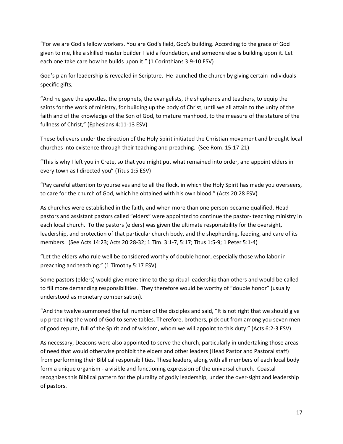"For we are God's fellow workers. You are God's field, God's building. According to the grace of God given to me, like a skilled master builder I laid a foundation, and someone else is building upon it. Let each one take care how he builds upon it." (1 Corinthians 3:9-10 ESV)

God's plan for leadership is revealed in Scripture. He launched the church by giving certain individuals specific gifts,

"And he gave the apostles, the prophets, the evangelists, the shepherds and teachers, to equip the saints for the work of ministry, for building up the body of Christ, until we all attain to the unity of the faith and of the knowledge of the Son of God, to mature manhood, to the measure of the stature of the fullness of Christ," (Ephesians 4:11-13 ESV)

These believers under the direction of the Holy Spirit initiated the Christian movement and brought local churches into existence through their teaching and preaching. (See Rom. 15:17-21)

"This is why I left you in Crete, so that you might put what remained into order, and appoint elders in every town as I directed you" (Titus 1:5 ESV)

"Pay careful attention to yourselves and to all the flock, in which the Holy Spirit has made you overseers, to care for the church of God, which he obtained with his own blood." (Acts 20:28 ESV)

As churches were established in the faith, and when more than one person became qualified, Head pastors and assistant pastors called "elders" were appointed to continue the pastor- teaching ministry in each local church. To the pastors (elders) was given the ultimate responsibility for the oversight, leadership, and protection of that particular church body, and the shepherding, feeding, and care of its members. (See Acts 14:23; Acts 20:28-32; 1 Tim. 3:1-7, 5:17; Titus 1:5-9; 1 Peter 5:1-4)

"Let the elders who rule well be considered worthy of double honor, especially those who labor in preaching and teaching." (1 Timothy 5:17 ESV)

Some pastors (elders) would give more time to the spiritual leadership than others and would be called to fill more demanding responsibilities. They therefore would be worthy of "double honor" (usually understood as monetary compensation).

"And the twelve summoned the full number of the disciples and said, "It is not right that we should give up preaching the word of God to serve tables. Therefore, brothers, pick out from among you seven men of good repute, full of the Spirit and of wisdom, whom we will appoint to this duty." (Acts 6:2-3 ESV)

As necessary, Deacons were also appointed to serve the church, particularly in undertaking those areas of need that would otherwise prohibit the elders and other leaders (Head Pastor and Pastoral staff) from performing their Biblical responsibilities. These leaders, along with all members of each local body form a unique organism - a visible and functioning expression of the universal church. Coastal recognizes this Biblical pattern for the plurality of godly leadership, under the over-sight and leadership of pastors.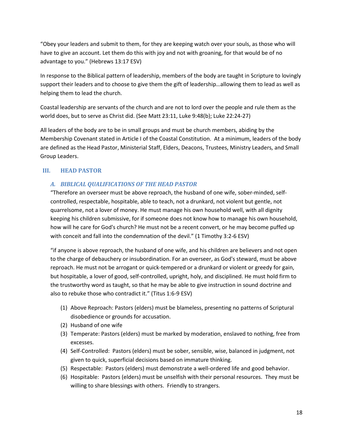"Obey your leaders and submit to them, for they are keeping watch over your souls, as those who will have to give an account. Let them do this with joy and not with groaning, for that would be of no advantage to you." (Hebrews 13:17 ESV)

In response to the Biblical pattern of leadership, members of the body are taught in Scripture to lovingly support their leaders and to choose to give them the gift of leadership…allowing them to lead as well as helping them to lead the church.

Coastal leadership are servants of the church and are not to lord over the people and rule them as the world does, but to serve as Christ did. (See Matt 23:11, Luke 9:48(b); Luke 22:24-27)

All leaders of the body are to be in small groups and must be church members, abiding by the Membership Covenant stated in Article I of the Coastal Constitution. At a minimum, leaders of the body are defined as the Head Pastor, Ministerial Staff, Elders, Deacons, Trustees, Ministry Leaders, and Small Group Leaders.

#### <span id="page-18-1"></span><span id="page-18-0"></span>**III. HEAD PASTOR**

#### *A. BIBLICAL QUALIFICATIONS OF THE HEAD PASTOR*

"Therefore an overseer must be above reproach, the husband of one wife, sober-minded, selfcontrolled, respectable, hospitable, able to teach, not a drunkard, not violent but gentle, not quarrelsome, not a lover of money. He must manage his own household well, with all dignity keeping his children submissive, for if someone does not know how to manage his own household, how will he care for God's church? He must not be a recent convert, or he may become puffed up with conceit and fall into the condemnation of the devil." (1 Timothy 3:2-6 ESV)

"if anyone is above reproach, the husband of one wife, and his children are believers and not open to the charge of debauchery or insubordination. For an overseer, as God's steward, must be above reproach. He must not be arrogant or quick-tempered or a drunkard or violent or greedy for gain, but hospitable, a lover of good, self-controlled, upright, holy, and disciplined. He must hold firm to the trustworthy word as taught, so that he may be able to give instruction in sound doctrine and also to rebuke those who contradict it." (Titus 1:6-9 ESV)

- (1) Above Reproach: Pastors (elders) must be blameless, presenting no patterns of Scriptural disobedience or grounds for accusation.
- (2) Husband of one wife
- (3) Temperate: Pastors (elders) must be marked by moderation, enslaved to nothing, free from excesses.
- (4) Self-Controlled: Pastors (elders) must be sober, sensible, wise, balanced in judgment, not given to quick, superficial decisions based on immature thinking.
- (5) Respectable: Pastors (elders) must demonstrate a well-ordered life and good behavior.
- (6) Hospitable: Pastors (elders) must be unselfish with their personal resources. They must be willing to share blessings with others. Friendly to strangers.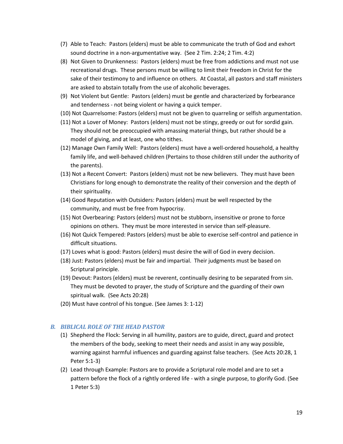- (7) Able to Teach: Pastors (elders) must be able to communicate the truth of God and exhort sound doctrine in a non-argumentative way. (See 2 Tim. 2:24; 2 Tim. 4:2)
- (8) Not Given to Drunkenness: Pastors (elders) must be free from addictions and must not use recreational drugs. These persons must be willing to limit their freedom in Christ for the sake of their testimony to and influence on others. At Coastal, all pastors and staff ministers are asked to abstain totally from the use of alcoholic beverages.
- (9) Not Violent but Gentle: Pastors (elders) must be gentle and characterized by forbearance and tenderness - not being violent or having a quick temper.
- (10) Not Quarrelsome: Pastors (elders) must not be given to quarreling or selfish argumentation.
- (11) Not a Lover of Money: Pastors (elders) must not be stingy, greedy or out for sordid gain. They should not be preoccupied with amassing material things, but rather should be a model of giving, and at least, one who tithes.
- (12) Manage Own Family Well: Pastors (elders) must have a well-ordered household, a healthy family life, and well-behaved children (Pertains to those children still under the authority of the parents).
- (13) Not a Recent Convert: Pastors (elders) must not be new believers. They must have been Christians for long enough to demonstrate the reality of their conversion and the depth of their spirituality.
- (14) Good Reputation with Outsiders: Pastors (elders) must be well respected by the community, and must be free from hypocrisy.
- (15) Not Overbearing: Pastors (elders) must not be stubborn, insensitive or prone to force opinions on others. They must be more interested in service than self-pleasure.
- (16) Not Quick Tempered: Pastors (elders) must be able to exercise self-control and patience in difficult situations.
- (17) Loves what is good: Pastors (elders) must desire the will of God in every decision.
- (18) Just: Pastors (elders) must be fair and impartial. Their judgments must be based on Scriptural principle.
- (19) Devout: Pastors (elders) must be reverent, continually desiring to be separated from sin. They must be devoted to prayer, the study of Scripture and the guarding of their own spiritual walk. (See Acts 20:28)
- (20) Must have control of his tongue. (See James 3: 1-12)

#### *B. BIBLICAL ROLE OF THE HEAD PASTOR*

- (1) Shepherd the Flock: Serving in all humility, pastors are to guide, direct, guard and protect the members of the body, seeking to meet their needs and assist in any way possible, warning against harmful influences and guarding against false teachers. (See Acts 20:28, 1 Peter 5:1-3)
- (2) Lead through Example: Pastors are to provide a Scriptural role model and are to set a pattern before the flock of a rightly ordered life - with a single purpose, to glorify God. (See 1 Peter 5:3)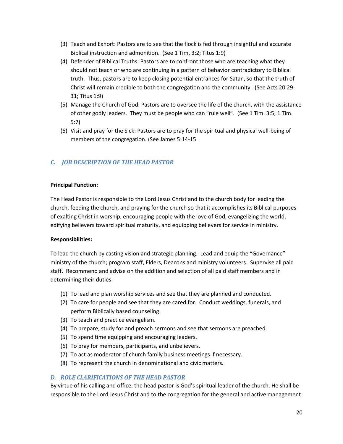- (3) Teach and Exhort: Pastors are to see that the flock is fed through insightful and accurate Biblical instruction and admonition. (See 1 Tim. 3:2; Titus 1:9)
- (4) Defender of Biblical Truths: Pastors are to confront those who are teaching what they should not teach or who are continuing in a pattern of behavior contradictory to Biblical truth. Thus, pastors are to keep closing potential entrances for Satan, so that the truth of Christ will remain credible to both the congregation and the community. (See Acts 20:29- 31; Titus 1:9)
- (5) Manage the Church of God: Pastors are to oversee the life of the church, with the assistance of other godly leaders. They must be people who can "rule well". (See 1 Tim. 3:5; 1 Tim. 5:7)
- (6) Visit and pray for the Sick: Pastors are to pray for the spiritual and physical well-being of members of the congregation. (See James 5:14-15

#### *C. JOB DESCRIPTION OF THE HEAD PASTOR*

#### **Principal Function:**

The Head Pastor is responsible to the Lord Jesus Christ and to the church body for leading the church, feeding the church, and praying for the church so that it accomplishes its Biblical purposes of exalting Christ in worship, encouraging people with the love of God, evangelizing the world, edifying believers toward spiritual maturity, and equipping believers for service in ministry.

#### **Responsibilities:**

To lead the church by casting vision and strategic planning. Lead and equip the "Governance" ministry of the church; program staff, Elders, Deacons and ministry volunteers. Supervise all paid staff. Recommend and advise on the addition and selection of all paid staff members and in determining their duties.

- (1) To lead and plan worship services and see that they are planned and conducted.
- (2) To care for people and see that they are cared for. Conduct weddings, funerals, and perform Biblically based counseling.
- (3) To teach and practice evangelism.
- (4) To prepare, study for and preach sermons and see that sermons are preached.
- (5) To spend time equipping and encouraging leaders.
- (6) To pray for members, participants, and unbelievers.
- (7) To act as moderator of church family business meetings if necessary.
- (8) To represent the church in denominational and civic matters.

#### *D. ROLE CLARIFICATIONS OF THE HEAD PASTOR*

By virtue of his calling and office, the head pastor is God's spiritual leader of the church. He shall be responsible to the Lord Jesus Christ and to the congregation for the general and active management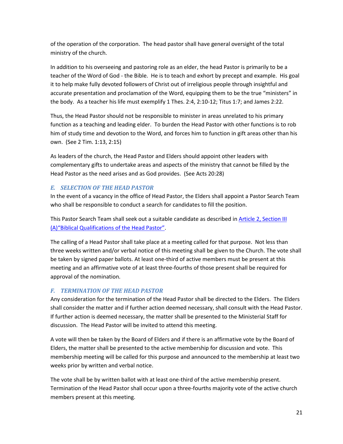of the operation of the corporation. The head pastor shall have general oversight of the total ministry of the church.

In addition to his overseeing and pastoring role as an elder, the head Pastor is primarily to be a teacher of the Word of God - the Bible. He is to teach and exhort by precept and example. His goal it to help make fully devoted followers of Christ out of irreligious people through insightful and accurate presentation and proclamation of the Word, equipping them to be the true "ministers" in the body. As a teacher his life must exemplify 1 Thes. 2:4, 2:10-12; Titus 1:7; and James 2:22.

Thus, the Head Pastor should not be responsible to minister in areas unrelated to his primary function as a teaching and leading elder. To burden the Head Pastor with other functions is to rob him of study time and devotion to the Word, and forces him to function in gift areas other than his own. (See 2 Tim. 1:13, 2:15)

As leaders of the church, the Head Pastor and Elders should appoint other leaders with complementary gifts to undertake areas and aspects of the ministry that cannot be filled by the Head Pastor as the need arises and as God provides. (See Acts 20:28)

### *E. SELECTION OF THE HEAD PASTOR*

In the event of a vacancy in the office of Head Pastor, the Elders shall appoint a Pastor Search Team who shall be responsible to conduct a search for candidates to fill the position.

This Pastor Search Team shall seek out a suitable candidate as described in [Article 2, Section III](#page-18-1)  (A)["Biblical Qualification](#page-18-1)s of the Head Pastor".

The calling of a Head Pastor shall take place at a meeting called for that purpose. Not less than three weeks written and/or verbal notice of this meeting shall be given to the Church. The vote shall be taken by signed paper ballots. At least one-third of active members must be present at this meeting and an affirmative vote of at least three-fourths of those present shall be required for approval of the nomination.

### *F. TERMINATION OF THE HEAD PASTOR*

Any consideration for the termination of the Head Pastor shall be directed to the Elders. The Elders shall consider the matter and if further action deemed necessary, shall consult with the Head Pastor. If further action is deemed necessary, the matter shall be presented to the Ministerial Staff for discussion. The Head Pastor will be invited to attend this meeting.

A vote will then be taken by the Board of Elders and if there is an affirmative vote by the Board of Elders, the matter shall be presented to the active membership for discussion and vote. This membership meeting will be called for this purpose and announced to the membership at least two weeks prior by written and verbal notice.

The vote shall be by written ballot with at least one-third of the active membership present. Termination of the Head Pastor shall occur upon a three-fourths majority vote of the active church members present at this meeting.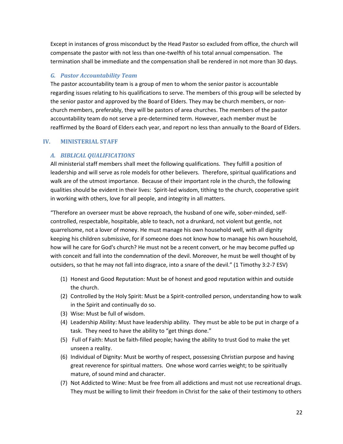Except in instances of gross misconduct by the Head Pastor so excluded from office, the church will compensate the pastor with not less than one-twelfth of his total annual compensation. The termination shall be immediate and the compensation shall be rendered in not more than 30 days.

#### *G. Pastor Accountability Team*

The pastor accountability team is a group of men to whom the senior pastor is accountable regarding issues relating to his qualifications to serve. The members of this group will be selected by the senior pastor and approved by the Board of Elders. They may be church members, or nonchurch members, preferably, they will be pastors of area churches. The members of the pastor accountability team do not serve a pre-determined term. However, each member must be reaffirmed by the Board of Elders each year, and report no less than annually to the Board of Elders.

#### <span id="page-22-0"></span>**IV. MINISTERIAL STAFF**

#### *A. BIBLICAL QUALIFICATIONS*

All ministerial staff members shall meet the following qualifications. They fulfill a position of leadership and will serve as role models for other believers. Therefore, spiritual qualifications and walk are of the utmost importance. Because of their important role in the church, the following qualities should be evident in their lives: Spirit-led wisdom, tithing to the church, cooperative spirit in working with others, love for all people, and integrity in all matters.

"Therefore an overseer must be above reproach, the husband of one wife, sober-minded, selfcontrolled, respectable, hospitable, able to teach, not a drunkard, not violent but gentle, not quarrelsome, not a lover of money. He must manage his own household well, with all dignity keeping his children submissive, for if someone does not know how to manage his own household, how will he care for God's church? He must not be a recent convert, or he may become puffed up with conceit and fall into the condemnation of the devil. Moreover, he must be well thought of by outsiders, so that he may not fall into disgrace, into a snare of the devil." (1 Timothy 3:2-7 ESV)

- (1) Honest and Good Reputation: Must be of honest and good reputation within and outside the church.
- (2) Controlled by the Holy Spirit: Must be a Spirit-controlled person, understanding how to walk in the Spirit and continually do so.
- (3) Wise: Must be full of wisdom.
- (4) Leadership Ability: Must have leadership ability. They must be able to be put in charge of a task. They need to have the ability to "get things done."
- (5) Full of Faith: Must be faith-filled people; having the ability to trust God to make the yet unseen a reality.
- (6) Individual of Dignity: Must be worthy of respect, possessing Christian purpose and having great reverence for spiritual matters. One whose word carries weight; to be spiritually mature, of sound mind and character.
- (7) Not Addicted to Wine: Must be free from all addictions and must not use recreational drugs. They must be willing to limit their freedom in Christ for the sake of their testimony to others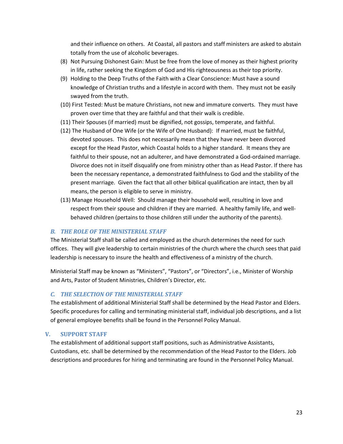and their influence on others. At Coastal, all pastors and staff ministers are asked to abstain totally from the use of alcoholic beverages.

- (8) Not Pursuing Dishonest Gain: Must be free from the love of money as their highest priority in life, rather seeking the Kingdom of God and His righteousness as their top priority.
- (9) Holding to the Deep Truths of the Faith with a Clear Conscience: Must have a sound knowledge of Christian truths and a lifestyle in accord with them. They must not be easily swayed from the truth.
- (10) First Tested: Must be mature Christians, not new and immature converts. They must have proven over time that they are faithful and that their walk is credible.
- (11) Their Spouses (if married) must be dignified, not gossips, temperate, and faithful.
- (12) The Husband of One Wife (or the Wife of One Husband): If married, must be faithful, devoted spouses. This does not necessarily mean that they have never been divorced except for the Head Pastor, which Coastal holds to a higher standard. It means they are faithful to their spouse, not an adulterer, and have demonstrated a God-ordained marriage. Divorce does not in itself disqualify one from ministry other than as Head Pastor. If there has been the necessary repentance, a demonstrated faithfulness to God and the stability of the present marriage. Given the fact that all other biblical qualification are intact, then by all means, the person is eligible to serve in ministry.
- (13) Manage Household Well: Should manage their household well, resulting in love and respect from their spouse and children if they are married. A healthy family life, and wellbehaved children (pertains to those children still under the authority of the parents).

#### *B. THE ROLE OF THE MINISTERIAL STAFF*

The Ministerial Staff shall be called and employed as the church determines the need for such offices. They will give leadership to certain ministries of the church where the church sees that paid leadership is necessary to insure the health and effectiveness of a ministry of the church.

Ministerial Staff may be known as "Ministers", "Pastors", or "Directors", i.e., Minister of Worship and Arts, Pastor of Student Ministries, Children's Director, etc.

#### *C. THE SELECTION OF THE MINISTERIAL STAFF*

The establishment of additional Ministerial Staff shall be determined by the Head Pastor and Elders. Specific procedures for calling and terminating ministerial staff, individual job descriptions, and a list of general employee benefits shall be found in the Personnel Policy Manual.

#### <span id="page-23-0"></span>**V. SUPPORT STAFF**

The establishment of additional support staff positions, such as Administrative Assistants, Custodians, etc. shall be determined by the recommendation of the Head Pastor to the Elders. Job descriptions and procedures for hiring and terminating are found in the Personnel Policy Manual.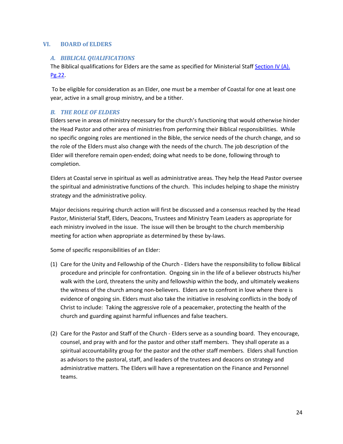#### <span id="page-24-0"></span>**VI. BOARD of ELDERS**

#### *A. BIBLICAL QUALIFICATIONS*

The Biblical qualifications for Elders are the same as specified for Ministerial Staff [Section IV](#page-22-0) (A). Pg.22.

To be eligible for consideration as an Elder, one must be a member of Coastal for one at least one year, active in a small group ministry, and be a tither.

#### <span id="page-24-1"></span>*B. THE ROLE OF ELDERS*

Elders serve in areas of ministry necessary for the church's functioning that would otherwise hinder the Head Pastor and other area of ministries from performing their Biblical responsibilities. While no specific ongoing roles are mentioned in the Bible, the service needs of the church change, and so the role of the Elders must also change with the needs of the church. The job description of the Elder will therefore remain open-ended; doing what needs to be done, following through to completion.

Elders at Coastal serve in spiritual as well as administrative areas. They help the Head Pastor oversee the spiritual and administrative functions of the church. This includes helping to shape the ministry strategy and the administrative policy.

Major decisions requiring church action will first be discussed and a consensus reached by the Head Pastor, Ministerial Staff, Elders, Deacons, Trustees and Ministry Team Leaders as appropriate for each ministry involved in the issue. The issue will then be brought to the church membership meeting for action when appropriate as determined by these by-laws.

Some of specific responsibilities of an Elder:

- (1) Care for the Unity and Fellowship of the Church Elders have the responsibility to follow Biblical procedure and principle for confrontation. Ongoing sin in the life of a believer obstructs his/her walk with the Lord, threatens the unity and fellowship within the body, and ultimately weakens the witness of the church among non-believers. Elders are to confront in love where there is evidence of ongoing sin. Elders must also take the initiative in resolving conflicts in the body of Christ to include: Taking the aggressive role of a peacemaker, protecting the health of the church and guarding against harmful influences and false teachers.
- (2) Care for the Pastor and Staff of the Church Elders serve as a sounding board. They encourage, counsel, and pray with and for the pastor and other staff members. They shall operate as a spiritual accountability group for the pastor and the other staff members. Elders shall function as advisors to the pastoral, staff, and leaders of the trustees and deacons on strategy and administrative matters. The Elders will have a representation on the Finance and Personnel teams.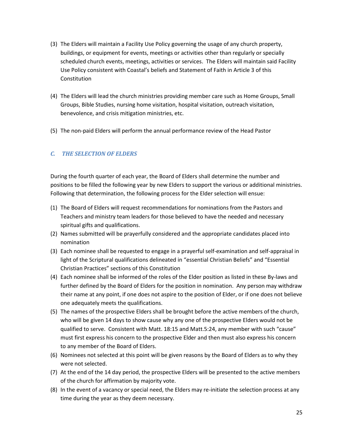- (3) The Elders will maintain a Facility Use Policy governing the usage of any church property, buildings, or equipment for events, meetings or activities other than regularly or specially scheduled church events, meetings, activities or services. The Elders will maintain said Facility Use Policy consistent with Coastal's beliefs and Statement of Faith in Article 3 of this Constitution
- (4) The Elders will lead the church ministries providing member care such as Home Groups, Small Groups, Bible Studies, nursing home visitation, hospital visitation, outreach visitation, benevolence, and crisis mitigation ministries, etc.
- (5) The non-paid Elders will perform the annual performance review of the Head Pastor

#### <span id="page-25-0"></span>*C. THE SELECTION OF ELDERS*

During the fourth quarter of each year, the Board of Elders shall determine the number and positions to be filled the following year by new Elders to support the various or additional ministries. Following that determination, the following process for the Elder selection will ensue:

- (1) The Board of Elders will request recommendations for nominations from the Pastors and Teachers and ministry team leaders for those believed to have the needed and necessary spiritual gifts and qualifications.
- (2) Names submitted will be prayerfully considered and the appropriate candidates placed into nomination
- (3) Each nominee shall be requested to engage in a prayerful self-examination and self-appraisal in light of the Scriptural qualifications delineated in "essential Christian Beliefs" and "Essential Christian Practices" sections of this Constitution
- (4) Each nominee shall be informed of the roles of the Elder position as listed in these By-laws and further defined by the Board of Elders for the position in nomination. Any person may withdraw their name at any point, if one does not aspire to the position of Elder, or if one does not believe one adequately meets the qualifications.
- (5) The names of the prospective Elders shall be brought before the active members of the church, who will be given 14 days to show cause why any one of the prospective Elders would not be qualified to serve. Consistent with Matt. 18:15 and Matt.5:24, any member with such "cause" must first express his concern to the prospective Elder and then must also express his concern to any member of the Board of Elders.
- (6) Nominees not selected at this point will be given reasons by the Board of Elders as to why they were not selected.
- (7) At the end of the 14 day period, the prospective Elders will be presented to the active members of the church for affirmation by majority vote.
- (8) In the event of a vacancy or special need, the Elders may re-initiate the selection process at any time during the year as they deem necessary.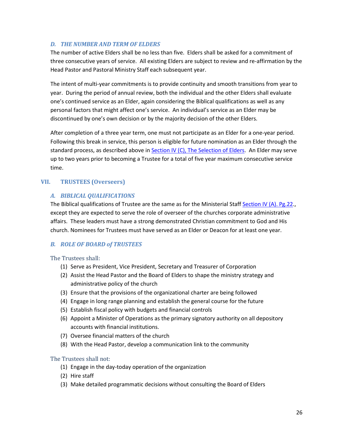#### *D. THE NUMBER AND TERM OF ELDERS*

The number of active Elders shall be no less than five. Elders shall be asked for a commitment of three consecutive years of service. All existing Elders are subject to review and re-affirmation by the Head Pastor and Pastoral Ministry Staff each subsequent year.

The intent of multi-year commitments is to provide continuity and smooth transitions from year to year. During the period of annual review, both the individual and the other Elders shall evaluate one's continued service as an Elder, again considering the Biblical qualifications as well as any personal factors that might affect one's service. An individual's service as an Elder may be discontinued by one's own decision or by the majority decision of the other Elders.

After completion of a three year term, one must not participate as an Elder for a one-year period. Following this break in service, this person is eligible for future nomination as an Elder through the standard process, as described above i[n Section IV \(C\), The Selection of Elders.](#page-25-0) An Elder may serve up to two years prior to becoming a Trustee for a total of five year maximum consecutive service time.

#### <span id="page-26-0"></span>**VII. TRUSTEES (Overseers)**

#### *A. BIBLICAL QUALIFICATIONS*

The Biblical qualifications of Trustee are the same as for the Ministerial Staff [Section IV](#page-22-0) (A). Pg.22., except they are expected to serve the role of overseer of the churches corporate administrative affairs. These leaders must have a strong demonstrated Christian commitment to God and His church. Nominees for Trustees must have served as an Elder or Deacon for at least one year.

#### *B. ROLE OF BOARD of TRUSTEES*

The Trustees shall:

- (1) Serve as President, Vice President, Secretary and Treasurer of Corporation
- (2) Assist the Head Pastor and the Board of Elders to shape the ministry strategy and administrative policy of the church
- (3) Ensure that the provisions of the organizational charter are being followed
- (4) Engage in long range planning and establish the general course for the future
- (5) Establish fiscal policy with budgets and financial controls
- (6) Appoint a Minister of Operations as the primary signatory authority on all depository accounts with financial institutions.
- (7) Oversee financial matters of the church
- (8) With the Head Pastor, develop a communication link to the community

#### The Trustees shall not:

- (1) Engage in the day-today operation of the organization
- (2) Hire staff
- (3) Make detailed programmatic decisions without consulting the Board of Elders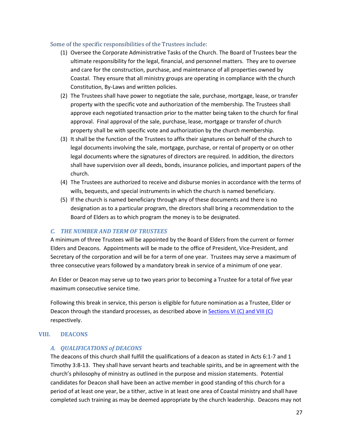#### Some of the specific responsibilities of the Trustees include:

- (1) Oversee the Corporate Administrative Tasks of the Church. The Board of Trustees bear the ultimate responsibility for the legal, financial, and personnel matters. They are to oversee and care for the construction, purchase, and maintenance of all properties owned by Coastal. They ensure that all ministry groups are operating in compliance with the church Constitution, By-Laws and written policies.
- (2) The Trustees shall have power to negotiate the sale, purchase, mortgage, lease, or transfer property with the specific vote and authorization of the membership. The Trustees shall approve each negotiated transaction prior to the matter being taken to the church for final approval. Final approval of the sale, purchase, lease, mortgage or transfer of church property shall be with specific vote and authorization by the church membership.
- (3) It shall be the function of the Trustees to affix their signatures on behalf of the church to legal documents involving the sale, mortgage, purchase, or rental of property or on other legal documents where the signatures of directors are required. In addition, the directors shall have supervision over all deeds, bonds, insurance policies, and important papers of the church.
- (4) The Trustees are authorized to receive and disburse monies in accordance with the terms of wills, bequests, and special instruments in which the church is named beneficiary.
- (5) If the church is named beneficiary through any of these documents and there is no designation as to a particular program, the directors shall bring a recommendation to the Board of Elders as to which program the money is to be designated.

#### *C. THE NUMBER AND TERM OF TRUSTEES*

A minimum of three Trustees will be appointed by the Board of Elders from the current or former Elders and Deacons. Appointments will be made to the office of President, Vice-President, and Secretary of the corporation and will be for a term of one year. Trustees may serve a maximum of three consecutive years followed by a mandatory break in service of a minimum of one year.

An Elder or Deacon may serve up to two years prior to becoming a Trustee for a total of five year maximum consecutive service time.

Following this break in service, this person is eligible for future nomination as a Trustee, Elder or Deacon through the standard processes, as described above in [Sections VI \(C\) and VIII \(C\)](#page-24-1)  respectively.

#### <span id="page-27-0"></span>**VIII. DEACONS**

#### *A. QUALIFICATIONS of DEACONS*

The deacons of this church shall fulfill the qualifications of a deacon as stated in Acts 6:1-7 and 1 Timothy 3:8-13. They shall have servant hearts and teachable spirits, and be in agreement with the church's philosophy of ministry as outlined in the purpose and mission statements. Potential candidates for Deacon shall have been an active member in good standing of this church for a period of at least one year, be a tither, active in at least one area of Coastal ministry and shall have completed such training as may be deemed appropriate by the church leadership. Deacons may not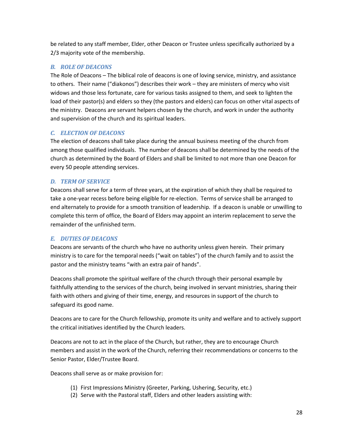be related to any staff member, Elder, other Deacon or Trustee unless specifically authorized by a 2/3 majority vote of the membership.

#### *B. ROLE OF DEACONS*

The Role of Deacons – The biblical role of deacons is one of loving service, ministry, and assistance to others. Their name ("diakonos") describes their work – they are ministers of mercy who visit widows and those less fortunate, care for various tasks assigned to them, and seek to lighten the load of their pastor(s) and elders so they (the pastors and elders) can focus on other vital aspects of the ministry. Deacons are servant helpers chosen by the church, and work in under the authority and supervision of the church and its spiritual leaders.

#### *C. ELECTION OF DEACONS*

The election of deacons shall take place during the annual business meeting of the church from among those qualified individuals. The number of deacons shall be determined by the needs of the church as determined by the Board of Elders and shall be limited to not more than one Deacon for every 50 people attending services.

#### *D. TERM OF SERVICE*

Deacons shall serve for a term of three years, at the expiration of which they shall be required to take a one-year recess before being eligible for re-election. Terms of service shall be arranged to end alternately to provide for a smooth transition of leadership. If a deacon is unable or unwilling to complete this term of office, the Board of Elders may appoint an interim replacement to serve the remainder of the unfinished term.

#### *E. DUTIES OF DEACONS*

Deacons are servants of the church who have no authority unless given herein. Their primary ministry is to care for the temporal needs ("wait on tables") of the church family and to assist the pastor and the ministry teams "with an extra pair of hands".

Deacons shall promote the spiritual welfare of the church through their personal example by faithfully attending to the services of the church, being involved in servant ministries, sharing their faith with others and giving of their time, energy, and resources in support of the church to safeguard its good name.

Deacons are to care for the Church fellowship, promote its unity and welfare and to actively support the critical initiatives identified by the Church leaders.

Deacons are not to act in the place of the Church, but rather, they are to encourage Church members and assist in the work of the Church, referring their recommendations or concerns to the Senior Pastor, Elder/Trustee Board.

Deacons shall serve as or make provision for:

- (1) First Impressions Ministry (Greeter, Parking, Ushering, Security, etc.)
- (2) Serve with the Pastoral staff, Elders and other leaders assisting with: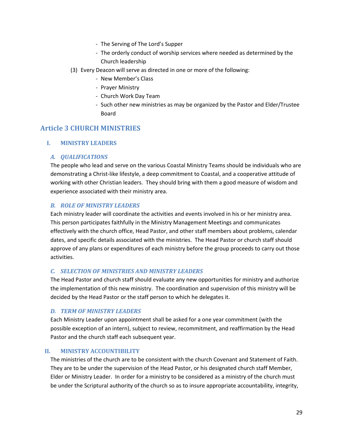- The Serving of The Lord's Supper
- The orderly conduct of worship services where needed as determined by the Church leadership
- (3) Every Deacon will serve as directed in one or more of the following:
	- New Member's Class
	- Prayer Ministry
	- Church Work Day Team
	- Such other new ministries as may be organized by the Pastor and Elder/Trustee Board

## <span id="page-29-1"></span><span id="page-29-0"></span>**Article 3 CHURCH MINISTRIES**

#### **I. MINISTRY LEADERS**

#### *A. QUALIFICATIONS*

The people who lead and serve on the various Coastal Ministry Teams should be individuals who are demonstrating a Christ-like lifestyle, a deep commitment to Coastal, and a cooperative attitude of working with other Christian leaders. They should bring with them a good measure of wisdom and experience associated with their ministry area.

#### *B. ROLE OF MINISTRY LEADERS*

Each ministry leader will coordinate the activities and events involved in his or her ministry area. This person participates faithfully in the Ministry Management Meetings and communicates effectively with the church office, Head Pastor, and other staff members about problems, calendar dates, and specific details associated with the ministries. The Head Pastor or church staff should approve of any plans or expenditures of each ministry before the group proceeds to carry out those activities.

#### *C. SELECTION OF MINISTRIES AND MINISTRY LEADERS*

The Head Pastor and church staff should evaluate any new opportunities for ministry and authorize the implementation of this new ministry. The coordination and supervision of this ministry will be decided by the Head Pastor or the staff person to which he delegates it.

#### *D. TERM OF MINISTRY LEADERS*

Each Ministry Leader upon appointment shall be asked for a one year commitment (with the possible exception of an intern), subject to review, recommitment, and reaffirmation by the Head Pastor and the church staff each subsequent year.

#### <span id="page-29-2"></span>**II. MINISTRY ACCOUNTIBILITY**

The ministries of the church are to be consistent with the church Covenant and Statement of Faith. They are to be under the supervision of the Head Pastor, or his designated church staff Member, Elder or Ministry Leader. In order for a ministry to be considered as a ministry of the church must be under the Scriptural authority of the church so as to insure appropriate accountability, integrity,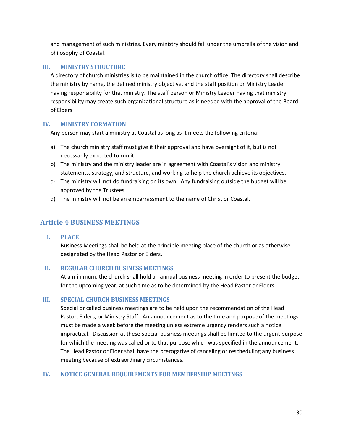and management of such ministries. Every ministry should fall under the umbrella of the vision and philosophy of Coastal.

#### <span id="page-30-0"></span>**III. MINISTRY STRUCTURE**

A directory of church ministries is to be maintained in the church office. The directory shall describe the ministry by name, the defined ministry objective, and the staff position or Ministry Leader having responsibility for that ministry. The staff person or Ministry Leader having that ministry responsibility may create such organizational structure as is needed with the approval of the Board of Elders

#### <span id="page-30-1"></span>**IV. MINISTRY FORMATION**

Any person may start a ministry at Coastal as long as it meets the following criteria:

- a) The church ministry staff must give it their approval and have oversight of it, but is not necessarily expected to run it.
- b) The ministry and the ministry leader are in agreement with Coastal's vision and ministry statements, strategy, and structure, and working to help the church achieve its objectives.
- c) The ministry will not do fundraising on its own. Any fundraising outside the budget will be approved by the Trustees.
- d) The ministry will not be an embarrassment to the name of Christ or Coastal.

## <span id="page-30-3"></span><span id="page-30-2"></span>**Article 4 BUSINESS MEETINGS**

**I. PLACE**

Business Meetings shall be held at the principle meeting place of the church or as otherwise designated by the Head Pastor or Elders.

#### <span id="page-30-4"></span>**II. REGULAR CHURCH BUSINESS MEETINGS**

At a minimum, the church shall hold an annual business meeting in order to present the budget for the upcoming year, at such time as to be determined by the Head Pastor or Elders.

#### <span id="page-30-5"></span>**III. SPECIAL CHURCH BUSINESS MEETINGS**

Special or called business meetings are to be held upon the recommendation of the Head Pastor, Elders, or Ministry Staff. An announcement as to the time and purpose of the meetings must be made a week before the meeting unless extreme urgency renders such a notice impractical. Discussion at these special business meetings shall be limited to the urgent purpose for which the meeting was called or to that purpose which was specified in the announcement. The Head Pastor or Elder shall have the prerogative of canceling or rescheduling any business meeting because of extraordinary circumstances.

#### <span id="page-30-6"></span>**IV. NOTICE GENERAL REQUIREMENTS FOR MEMBERSHIP MEETINGS**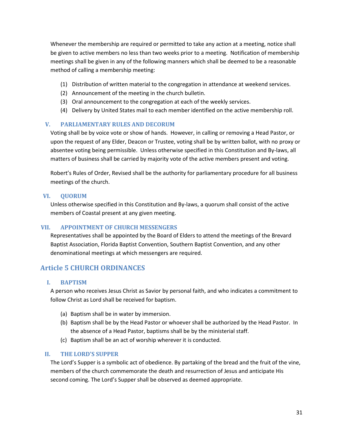Whenever the membership are required or permitted to take any action at a meeting, notice shall be given to active members no less than two weeks prior to a meeting. Notification of membership meetings shall be given in any of the following manners which shall be deemed to be a reasonable method of calling a membership meeting:

- (1) Distribution of written material to the congregation in attendance at weekend services.
- (2) Announcement of the meeting in the church bulletin.
- (3) Oral announcement to the congregation at each of the weekly services.
- (4) Delivery by United States mail to each member identified on the active membership roll.

#### <span id="page-31-0"></span>**V. PARLIAMENTARY RULES AND DECORUM**

Voting shall be by voice vote or show of hands. However, in calling or removing a Head Pastor, or upon the request of any Elder, Deacon or Trustee, voting shall be by written ballot, with no proxy or absentee voting being permissible. Unless otherwise specified in this Constitution and By-laws, all matters of business shall be carried by majority vote of the active members present and voting.

Robert's Rules of Order, Revised shall be the authority for parliamentary procedure for all business meetings of the church.

#### <span id="page-31-1"></span>**VI. QUORUM**

Unless otherwise specified in this Constitution and By-laws, a quorum shall consist of the active members of Coastal present at any given meeting.

#### <span id="page-31-2"></span>**VII. APPOINTMENT OF CHURCH MESSENGERS**

Representatives shall be appointed by the Board of Elders to attend the meetings of the Brevard Baptist Association, Florida Baptist Convention, Southern Baptist Convention, and any other denominational meetings at which messengers are required.

### <span id="page-31-4"></span><span id="page-31-3"></span>**Article 5 CHURCH ORDINANCES**

#### **I. BAPTISM**

A person who receives Jesus Christ as Savior by personal faith, and who indicates a commitment to follow Christ as Lord shall be received for baptism.

- (a) Baptism shall be in water by immersion.
- (b) Baptism shall be by the Head Pastor or whoever shall be authorized by the Head Pastor. In the absence of a Head Pastor, baptisms shall be by the ministerial staff.
- (c) Baptism shall be an act of worship wherever it is conducted.

#### <span id="page-31-5"></span>**II. THE LORD'S SUPPER**

The Lord's Supper is a symbolic act of obedience. By partaking of the bread and the fruit of the vine, members of the church commemorate the death and resurrection of Jesus and anticipate His second coming. The Lord's Supper shall be observed as deemed appropriate.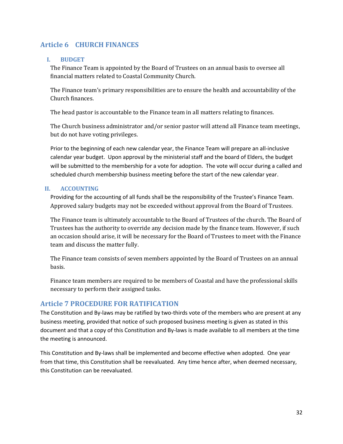## <span id="page-32-0"></span>**Article 6 CHURCH FINANCES**

#### <span id="page-32-1"></span>**I. BUDGET**

The Finance Team is appointed by the Board of Trustees on an annual basis to oversee all financial matters related to Coastal Community Church.

The Finance team's primary responsibilities are to ensure the health and accountability of the Church finances.

The head pastor is accountable to the Finance team in all matters relating to finances.

The Church business administrator and/or senior pastor will attend all Finance team meetings, but do not have voting privileges.

Prior to the beginning of each new calendar year, the Finance Team will prepare an all-inclusive calendar year budget. Upon approval by the ministerial staff and the board of Elders, the budget will be submitted to the membership for a vote for adoption. The vote will occur during a called and scheduled church membership business meeting before the start of the new calendar year.

#### <span id="page-32-2"></span>**II. ACCOUNTING**

Providing for the accounting of all funds shall be the responsibility of the Trustee's Finance Team. Approved salary budgets may not be exceeded without approval from the Board of Trustees.

The Finance team is ultimately accountable to the Board of Trustees of the church. The Board of Trustees has the authority to override any decision made by the finance team. However, if such an occasion should arise, it will be necessary for the Board of Trustees to meet with the Finance team and discuss the matter fully.

The Finance team consists of seven members appointed by the Board of Trustees on an annual basis.

Finance team members are required to be members of Coastal and have the professional skills necessary to perform their assigned tasks.

## <span id="page-32-3"></span>**Article 7 PROCEDURE FOR RATIFICATION**

The Constitution and By-laws may be ratified by two-thirds vote of the members who are present at any business meeting, provided that notice of such proposed business meeting is given as stated in this document and that a copy of this Constitution and By-laws is made available to all members at the time the meeting is announced.

This Constitution and By-laws shall be implemented and become effective when adopted. One year from that time, this Constitution shall be reevaluated. Any time hence after, when deemed necessary, this Constitution can be reevaluated.